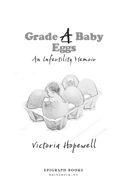



Victoria Hopewell

**EPIGRAPH BOOKS**

RHINEBECK , N Y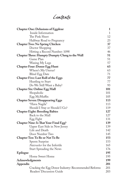#### Contents

| <b>Chapter One: Delusions of Eggdeur</b>             | $\mathbf{1}$ |
|------------------------------------------------------|--------------|
| Inside Information                                   | $\mathbf 1$  |
| The Pink Sheet                                       | 12           |
| Halfway Road to Pregnancy                            | 23           |
| <b>Chapter Two: No Spring Chicken</b>                | 37           |
| Doctor Shopping                                      | 37           |
| Hitting a Record Number: 1098                        | 46           |
| Chapter Three: Humpty Dumpty Clung to the Wall       | 51           |
| Game Plan                                            | 51           |
| Waxing My Legs                                       | 57           |
| <b>Chapter Four: Donor Egg Hunt</b>                  | 63           |
| Where's My Uterus?                                   | 63           |
| <b>Blind Egg Date</b>                                | 71           |
| <b>Chapter Five: Last Roll of the Eggs</b>           | 77           |
| Hustling to Start                                    | 77           |
| Do We Still Want a Baby?                             | 93           |
| <b>Chapter Six: Online Egg Mall</b>                  | 101          |
| Shopaholic                                           | 101          |
| Egg McMuffin                                         | 105          |
| <b>Chapter Seven: Disappearing Eggs</b>              | 113          |
| "Hava Nagila"                                        | 113          |
| Should I Stay or Should I Go?                        | 119          |
| <b>Chapter Eight: Breeding Babies</b>                | 127          |
| Back to the Mall                                     | 127          |
| Egg Fight                                            | 131          |
| <b>Chapter Nine: Is That Your Final Egg?</b>         | 139          |
| Upper East Side in New Jersey                        | 139          |
| Life and Death                                       | 142          |
| Door Number Two                                      | 145          |
| Chapter Ten: To Be or Not To Be                      | 153          |
| Sperm Surprise                                       | 153          |
| Nutcracker for the Infertile                         | 165          |
| <b>Start Spreading the News</b>                      | 176          |
| Epilogue                                             | 195          |
| Home Sweet Home                                      | 195          |
| Acknowledgments                                      | 199          |
| Appendix                                             | 201          |
| Cracking the Egg Donor Industry: Recommended Reforms | 201          |
| Readers' Discussion Guide                            | 203          |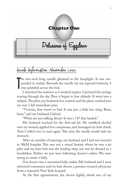# Chapter One

Delusions of Eggdeur

#### Inside Information—November 2002

The two-inch-long needle glopended in midair. Beneath the was sprawled across the bed. he two-inch-long needle gleamed in the lamplight. It was suspended in midair. Beneath the needle lay my exposed buttocks. I

I clenched the mattress as I awaited impact. I pictured the syringe soaring through the sky. Then it began to lose altitude. It went into a tailspin. The pilot, my husband, lost control, and the plane crashed into my rear. I felt immediate pain.

"Victoria, that wasn't so bad. It was just a little bee sting. Buzz, buzz," said my husband, Gabriel.

"What are you talking about? It was a 747 that landed."

My husband reached for the first-aid kit. He swabbed alcohol over my wound, applied hot compresses, and massaged my butt cheek. Next I rolled over to start again. This time the needle would stab my stomach.

After six months of marriage, my husband and I had not resorted to S&M foreplay. This was not a sexual fantasy where he was a jet pilot and my bare butt was the landing strip, nor was he dressed as a bumblebee. Rather we just were following doctor's orders. We were trying to create a baby.

Our doctor was a renowned baby maker. My husband and I were informed consumers, and we had chosen a premier research physician from a topnotch New York hospital.

At the first appointment, the doctor lightly shook two of my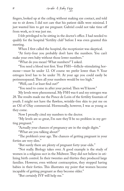fingers, looked up at the ceiling without making eye contact, and told me to sit down. I did not care that his patient skills were minimal. I just wanted him to get me pregnant. Gabriel could not take time off from work, so it was just me.

I felt privileged to be sitting in the doctor's office. I had needed to qualify for the hospital "fertility club" before I was even granted this meeting.

When I first called the hospital, the receptionist was skeptical.

"At forty-four you probably don't have the numbers. You can't make your own baby without those lower numbers."

"What do you mean? What numbers?" I asked.

"You need a blood test first. Your FSH—follicle-stimulating hormone—must be under 12. Of course we prefer lower than 9. Your estrogen level has to be under 70. At your age you could easily be perimenopausal. Then all your numbers would be too high."

"Well, can I at least find out?"

"You need to come in after your period. Then we'll know."

My levels were phenomenal. My FSH was 6 and my estrogen was 28. The results made me the Ponce de León of the fertility fountain of youth. I might not have the flawless, wrinkle-free skin to put me on an Oil of Olay commercial. Hormonally, however, I was as young as they come.

Now I proudly cited my numbers to the doctor.

"My levels are so great, I'm sure they'll be no problem in my getting pregnant."

"Actually your chances of pregnancy are in the single digits."

"What are you talking about?"

"The problem's your age. The chances of getting pregnant in your forties are very slim."

"But surely there are plenty of pregnant forty-year-olds."

"Not really. Biology takes over. A good example is the study of women in a religious sect in the Midwest. They did not believe in utilizing birth control. In their twenties and thirties they produced large families. However, even without contraception, they stopped having babies in their forties. This illustrates my point that women become incapable of getting pregnant as they become older."

"But certainly IVF will help me."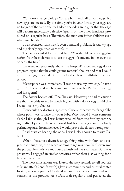3 Delusions of Eggdeur

"You can't change biology. You are born with all of your eggs. No new eggs are created. By the time you're in your forties your eggs are no longer of the same quality. Indeed the odds are higher that the eggs will become genetically defective. Sperm, on the other hand, are produced on a regular basis. Therefore, the man can father children even when much older."

I was cornered. This wasn't even a mutual problem. It was *my* age and *my* elderly eggs that were at fault.

The doctor smiled for the first time. "You should consider egg donation. Your best chance is to use the eggs of someone in her twenties or early thirties."

He went on pleasantly about the hospital's excellent egg donor program, saying that he could get me material about it and that I could utilize the egg of a student from a local college or affiliated medical school.

My response was immediate. "I want to use my own egg. I have a great FSH level, and my husband and I want to try IVF with my egg and his sperm!"

The doctor backed off. "Fine," he said. However, he had to caution me that the odds would be much higher with a donor egg. I said that I would take my chances.

How could the doctor suggest that I use another woman's egg? The whole point was to have my own baby. Why would I want someone else's? I felt as though I was being expelled from the fertility sorority right after I joined. The receptionist had been wrong about my likely perimenopausal hormone level. I would prove the doctor wrong too.

I had practice beating the odds. I was lucky enough to marry Gabriel.

When I became a divorcée at age thirty-nine with four- and sixyear-old daughters, the chance of remarriage was poor. Yet I overcame the probability statistics and found a husband five years later. But I was proactive. I engaged in singles activities rather than just waiting for a husband to arrive.

The most unusual one was Date Bait: sixty seconds to sell yourself at Manhattan's 92nd Street Y, a Jewish community and cultural center. In sixty seconds you had to stand up and provide a commercial with yourself as the product. As a Date Bait regular, I had perfected the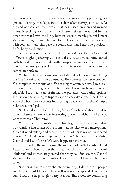right way to talk. It was important not to start sweating profusely, begin stammering, or collapse into the chair after stating your name. At the end of the event there were "matches" based on men and women mutually picking each other. Two different times I was told by the organizer that I was the lucky highest-scoring match person! I must still look young if I was chosen a lot**—**plus some of the matches were with younger men. This gave me confidence that  $I$  must be physically fit for baby production.

Gabriel was not one of my Date Bait catches. We met twice at different singles gatherings. The initial event, at a restaurant, started with hors d'oeuvres and talk with prospective singles. Then, in case that part wasn't going well, there was a diversion: we could watch a comedian perform.

My future husband came over and started talking with me during the first five minutes of hors d'oeuvres. The conversation never stopped. We compared the merits of different singles organizations. I was relatively new to the singles world, but Gabriel was much more knowledgeable. He'd had years of firsthand experience with dating options. He had even taken singles trips to exotic places like Costa Rica. He also knew the best charity events for meeting people, such as the Multiple Sclerosis annual gala**.**

Next we discussed Charleston, South Carolina. Gabriel went to school there and knew the interesting places to visit. I had always wanted to visit Charleston.

Meanwhile the "comedy phase" had begun. The female comedian was standing in a corner of the room making jokes over a microphone. We continued talking and became the butt of her jokes: she wondered how our "first date" was progressing and if we'd be a successful statistic. Gabriel and I didn't care. We were happy to have met.

At the end of the night came the moment of truth. I confided that I was not only divorced but that I had two children. Most men heard "children" and immediately stated that they couldn't see me. Gabriel still scribbled my phone number. I was hopeful. However, he never called.

Not being one to sit by the phone waiting, I dated other people and forgot about Gabriel. There still was no one special. Three years later I was at a huge singles party at a bar. There were no comforting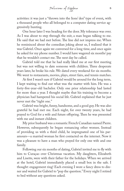5 Delusions of Eggdeur

activities: it was just a "thrown into the lions' den" type of event**,** with a thousand people who all belonged to a computer dating service aggressively hunting.

One hour later I was heading for the door. My tolerance was over. As I was about to step through the exit, a man began talking to me. He said that we had met before. The line did not impress me. When he reminisced about the comedian joking about us, I realized that it was Gabriel. Once again we conversed for a long time, and once again he asked for my phone number. I would have wagered six months' pay that he wouldn't contact me. The next day he called.

Gabriel told me that he had really liked me at our first meeting but was not willing to date someone with children. Three desperate years later, he broke his rule. We dated every weekend for six months. We went to restaurants, movies, plays, street fairs, and tennis matches.

At first I wasn't sure if Gabriel would be around for the long term**.** I kept waiting to find out what was the matter with him. He was a forty-five-year-old bachelor. Only one prior relationship had lasted for more than a year. I thought maybe that his training to become a physician had hampered his social life. Gabriel explained that he just never met the "right one."

Gabriel was bright, funny, handsome, and a good guy. He was also grateful he had met me. Each night, for over twenty years, he had prayed to God for a wife and future offspring. Then he was presented with me and instant children.

My prior husband was a romantic French Canadian named Pierre. However, subsequently he began romancing other women. Instead of providing us with a third child, he impregnated one of his paramours—a married woman he first contacted on the internet. Now it was a pleasure to have a man who prayed for only one wife and one family.

Following our six months of dating, Gabriel invited me to fly with him to Curaçao over Christmas vacation. My daughters, Elizabeth and Lisette, were with their father for the holidays. When we arrived at the hotel, Gabriel immediately placed a small box in the safe. I thought: engagement ring! Each evening I wore a fancy dress to dinner and waited for Gabriel to "pop the question." Every night I retired to bed without any questions asked.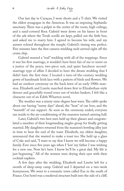Our last day in Curaçao, I wore shorts and a T-shirt. We visited the oldest synagogue in the Americas. It was an imposing Sephardic sanctuary. There was a pulpit in the center of the room, high ceilings, and a sand-covered floor. Gabriel went down on his knees in front of the ark where the Torah scrolls are kept, pulled out the little box, and asked me to marry him. I agreed to become his wife, and my answer echoed throughout the temple. Gabriel's timing was perfect. Five minutes later the first camera-wielding mob arrived right off the cruise ship.

Gabriel wanted a "real" wedding with all of the trappings. Since it was his first marriage, it wouldn't have been fair of me to insist on a justice of the peace, two-piece suit, and quiet luncheon secondmarriage type of affair. I decided to have the dream wedding that I didn't have the first time. I located a turn-of-the-century wedding gown of handmade Irish lace with a pattern of birds and flowers. We had an outdoor ceremony on the back lawn of an early 1900s mansion. Elizabeth and Lisette marched down first in Elizabethan-style dresses and gracefully tossed roses out of wicker baskets. I felt like a character out of an Edith Wharton novel.

The weather was a ninety-nine-degree heat wave. The rabbi spoke about our having "sunny days" ahead, the "heat" of our love, and the "warmth" of our support. As soon as the ceremony ended, everyone ran inside to the air-conditioning of the mansion turned catering hall.

Later, Gabriel's two best men held up their glasses and congratulated a member of their longstanding singles group for finally getting married. My daughters returned from the mansion's bowling alley just in time to hear the end of the toast. Elizabeth, my oldest daughter, announced that she wanted to make a toast too. She held up a glass of Coke and said, "I want to say that I know we will become a happy family. Ever since five years ago when I 'lost' my father I was wishing for a new one. Now he's here. I know he'll be a great dad. My life is just beginning." All of the women were drying their eyes with their cocktail napkins.

A few days after the wedding, Elizabeth and Lisette left for a month of sleep-away camp. Gabriel and I departed on a two-week honeymoon. We went to a romantic town called Eze in the south of France. Our hotel was a medieval structure built into the side of a cliff;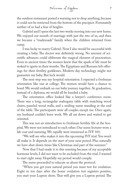the outdoor restaurant posted a warning not to drop anything, because it could not be retrieved from the bottom of the precipice. Fortunately neither of us had a fear of heights.

Gabriel and I spent the last two weeks moving into our new home. We enjoyed our month of marriage with just the two of us, and then we became a "readymade" family when the children returned from camp.

I was lucky to marry Gabriel. Now I also would be successful with creating a baby. The doctor was definitely wrong. No amount of scientific advances could obliterate the magical element of procreation. Even in ancient times the women knew that the spark of life must be stoked to ignite in their wombs. The Egyptians and Romans left offerings for their fertility goddesses. Modern-day technology might not guarantee my baby. But luck would.

The next step was my hospital orientation. I expected a freshman orientation like one at college. The women would have a chance to bond. We would embark on our baby journey together. At graduation, instead of a diploma, we would all be handed a baby.

The orientation office looked like a lawyer's conference room. There was a long, rectangular mahogany table with matching wood chairs, paneled wood walls, and a smiling nurse standing at the end of the table. The participants were all couples except me. Once again, my husband couldn't leave work. We all sat down and waited to get oriented.

This was not an introduction to freshman fertility life at the hospital. We were not introduced to each other. Our nurse lecturer wore a lab coat and nametag. We rapidly were immersed in IVF 101.

"We will see who makes it into the upcoming IVF trial. You won't all make it. It depends on the start of your next period. Plus naturally we have shut-down times like Christmas and part of the summer."

Now that I had made it to this meeting because of my acceptable hormone levels, I did not want to be excluded from the trial. I wanted to start right away. Hopefully my period would comply.

The nurse proceeded to educate us about the protocol.

"When you get your natural period you must test for ovulation. Eight to ten days after the home ovulation test registers positive, you start your Lupron shots. That will give you a Lupron period. The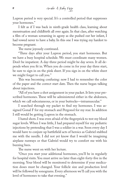Lupron period is very special. It's a controlled period that suppresses your hormones."

I felt as if I was back in ninth-grade health class, learning about menstruation and childbirth all over again. In that class, after watching a film of a woman screaming in agony as she pushed out her infant, I had vowed never to have a baby. In this one I was trying my hardest to become pregnant.

The nurse joyously continued.

"Three days after your Lupron period, you start hormones. But we have a busy hospital schedule. We must coordinate many women. Don't be impatient. A day-three period might be day seven. It all depends when you fit in. When you do come in for your day three start, be sure to sign in on the pink sheet. If you sign in on the white sheet we might forget to call you."

This was becoming confusing: now I had to remember the color of the paper and the correct start date. Then the nurse began talking about injections.

"All of you have a shot assignment in your packet. It lists your prescribed hormones. These will be administered either in the abdomen, which we call subcutaneous, or in your buttocks—intramuscular."

I searched through my packet to find my hormones. I was assigned Gonal F for my stomach and Pergonol for my rear. In addition I still would be getting Lupron in the stomach.

I hated shots. I was even afraid of the fingerprick to test my blood sugar levels. When I was little, I had prepared myself for my pediatric injections by pretending that I was a soldier in a war. Soon every day I would have to conjure up battlefield acts of heroics as Gabriel stabbed me with the needle. I did not yet know that I would be imagining airplane runways or that Gabriel would try to comfort me with his buzzing bees.

The nurse went on with her lecture.

"Once you start your additional hormones, you'll be in regularly for hospital visits. You must arrive no later than eight-forty-five in the morning. Your blood will be monitored to determine if your medication doses must be changed. Your follicle size and production level will be followed by sonograms. Every afternoon we'll call you with the level of hormones to take that evening."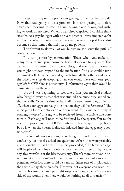Delusions of Eggdeur

9

I kept focusing on the part about getting to the hospital by 8:45. Now that was going to be a problem! It meant getting up before dawn each morning to catch a train, having blood drawn, and rushing to work on no sleep. When I was sleep-deprived, I couldn't think straight. As a psychologist with a private practice, it was imperative for me to concentrate on what my patients were saying. I hoped I wouldn't become so disoriented that I'd mix up my patients.

"I don't want to alarm all of you, but we must discuss the pitfalls," continued our nurse.

"You can go into hyperstimulation. That's when you make too many follicles and your hormone levels skyrocket too quickly. This can result in a twisted ovary, blood clots, and even death. Some of you might not even respond to the medication. You also could have a dominant follicle, which would grow before all the others and cause the others to stop developing. Then you would have only one good egg left for IVF. One is not enough. Unfortunately, you then would be eliminated from the trial."

Just as I was beginning to feel like a first-year medical student who "caught" every disease that was studied, the nurse proclaimed enthusiastically, "Now it's time to learn all the new terminology. First of all, when your eggs are ready to come out they will be *harvested*." The nurse put a lot of emphasis on our new word. "This will be the day of your egg *retrieval*. The egg will be retrieved from the follicle that contains it. Each egg will need to be fertilized by the sperm. You might need the procedure called ICSI—intracytoplasmic sperm injections. ICSI is when the sperm is directly injected into the egg. Any questions yet?"

I did not ask any questions, even though I found the information confusing. No one else asked any questions either. They were probably just as quietly lost as I was. The nurse proceeded, "The fertilized eggs will be placed back into the uterus on either day three or day five. A day-five transfer is at the blastocyst stage. There's more embryonic development at that point and therefore an increased rate of a successful pregnancy**—**in fact there could be a much higher rate of implantation than with a day-three transfer. However, not everyone can wait until day five because the embryo might stop developing since it's still outside of the womb. Then there would be nothing at all to transfer."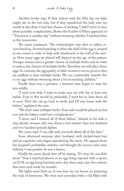Another booby trap. If they waited until the fifth day my baby might die in the test tube, but if they transferred the baby into my womb at day three it had less chance of sticking. I didn't want to hear about possible complications. Better the Scarlett O'Hara approach of "Tomorrow is another day" without worrying whether I reached three or five tomorrows.

The nurse continued. "The embryologist may elect to utilize *assisted hatching*. Assisted hatching is when the shell of the egg is scraped in one corner in order to help with attachment to the wall of the uterus. How many eggs are placed will depend on the age of the patient. Younger women have a greater chance of multiple births and we want to reduce the chances of multiple births. Therefore, we will place fewer eggs. In contrast**,** the egg quality of older women is not as good so they are unlikely to have multiple births. We can comfortably transfer five or six eggs without worrying about a lot of resulting children."

Finally there was a question: a heavyset man began to wave his arm wildly.

"I need your help. I want to make sure my wife has at least two babies. Four or five would be preferable. I want her to have them all at once. Then she can go back to work, and I'll stay home with the babies," explained the man.

"We don't want multiple births. Your wife would be placed on bed rest and the babies could have complications."

"I never said I wanted all of those babies," chimed in his wife, a tiny, slender woman who was about a foot shorter than her husband and two hundred pounds lighter.

The nurse said, "I can talk with you both about all of this later."

Soon afterward someone else's husband, with slicked-back hair and an expensive suit, began questioning the nurse. He argued about the hospital's probability statistics and thought the success rates were inflated. I was positive he was a lawyer.

Finally the nurse shook him off by stating, "It's time for our slide show." Now I watched photos of an egg being injected with a sperm via ICSI, an egg being hatched, and a day-three and a day-five embryo that were each ready for transfer.

The lights went back on. It was time for our lesson on preparing the vials of hormones. We were each provided with a vial filled with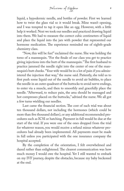Delusions of Eggdeur

liquid, a hypodermic needle, and bottles of powder. First we learned how to twist the glass vial so it would break. Mine wasn't opening, and I was tempted to tap it open like an egg. However, with a little help it worked. Next we took our needles and practiced drawing liquid into them. We had to measure the correct cubic centimeters of liquid and place the liquid into the jars with powder that represented our hormone medication. The experience reminded me of eighth-grade chemistry class.

"Now, this will be fun!" exclaimed the nurse. She was holding the torso of a mannequin. "For the finale of our class you get to practice giving injections into the butt of the mannequin." The first husband to practice jammed the needle right into the center of one of the mannequin's butt cheeks. "Your wife would be in a lot of pain if you administered the injection that way," the nurse said. Patiently, she told us to first push some liquid out of the needle to avoid air bubbles, to place the needle in an outer quadrant of the buttocks to avoid nerve endings, to enter via a muscle, and then to smoothly and gracefully place the needle. "Afterward, to reduce pain, the area should be massaged and hot compresses placed on the buttocks," advised the nurse. We all got a few turns wielding our needles.

Last came the financial section. The cost of each trial was about ten thousand dollars, not including the hormones (which could be more than five thousand dollars), or any additional recommended procedures such as ICSI or hatching. Payment in full would be due at the start of the trial. If you were one of the ones dropped from the trial for whatever reason, you would receive a refund minus whatever procedures had already been implemented. All payments must be made in full unless you participated with the one insurance company the hospital accepted.

By the completion of the orientation, I felt overwhelmed and dazed rather than enlightened. The clearest communication was how much money I would owe the hospital. Yet I still wanted to embark on my IVF journey, despite the obstacles, because my baby beckoned at the end.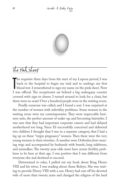

### The Pink Sheet

The requisite three days from the start of my Lupron period, I was<br>back in the hospital to begin my trial and to undergo my first<br>blood test. I remembered to sign my name on the pink sheet. Now<br>I was official. The receptio he requisite three days from the start of my Lupron period, I was back in the hospital to begin my trial and to undergo my first I was official. The receptionist sat behind a big mahogany counter covered with sign-in sheets. I turned around to look for a chair, but there were no seats! Over a hundred people were in the waiting room.

Finally someone was called, and I found a seat. I was surprised at the number of women with infertility problems. Some women in the waiting room were my contemporaries. They wore impeccable business suits, the perfect amount of make-up, and becoming hairstyles. I was sure that they had important corporate careers and had delayed motherhood too long. Since I'd successfully conceived and delivered two children I thought that I was in a separate category, that I had a leg up on these "virgin pregnancy" women. Then there were the very young women in their twenties. A number were Orthodox Jews wearing wigs and accompanied by husbands with beards, long sideburns, and yarmulkes. The twenty-year-olds must have severe fertility problems to be here at their age. I was positive that I was different from everyone else and destined to succeed.

Determined to relax, I pulled out my book about King Henry VIII and his wives. I was reading about Anne Boleyn. She was waiting to provide Henry VIII with a son. Henry had cast off his devoted wife of more than twenty years and changed the religion of the land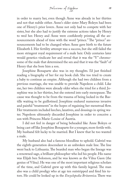13 Delusions of Eggdeur

in order to marry her, even though Anne was already in her thirties and not that nubile either. Anne's older sister Mary Boleyn had been one of Henry's prior lovers. Anne not only had to compete with her sister, but she also had to justify the extreme actions taken by Henry to wed her. Henry and Anne were confidently printing all the announcements ahead of time with the word "prince." The "prince" announcements had to be changed when Anne gave birth to the future Elizabeth I. Her fertility attempt was a success, but she still failed the more stringent royal requirement of a male heir. Only centuries later would genetics vindicate her and reveal that it was the "Y" chromosome of the male that determined the sex and that it was the "fault" of Henry that she bore him a son.

Josephine Bonaparte also was in my thoughts. I'd just finished reading a biography of her for my book club. She too tried to create a baby to continue an empire. Although she had two children from a previous marriage, she was unable to provide Napoleon a child. Like me, her two children were already older when she tried for a third. Josephine was in her thirties, but she entered into early menopause. The cause was thought to be from the trauma of being locked in the Bastille waiting to be guillotined. Josephine endured numerous invasive and painful "treatments" in the hopes of regaining her menstrual flow. Her treatments included leeches, laxatives, and dousings in spring water. Napoleon ultimately discarded Josephine in order to conceive a son with Princess Marie-Louise of Austria.

I did not feel in danger of being beheaded like Anne Boleyn or being cast off like Josephine Bonaparte for a younger, more fertile wife. My husband felt lucky to be married. But I knew that he too wanted a male.

My husband also had a famous bloodline to uphold. Gabriel was the eighth-generation descendant in an unbroken male line. The line went back to Lithuania. The bearded man who began the lineage was a renowned sage, a brilliant philosopher who led his people. His name was Elijah ben Solomon, and he was known as the Vilna Gaon (the genius of Vilna). He was one of the most important religious scholars of the time, and Gabriel grew up with this family legend. The man also was a child prodigy who at age ten outstripped and fired his tutors. He could be looked up in the *Encyclopedia Britannica*. There was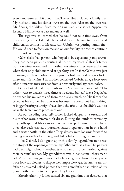even a museum exhibit about him. The exhibit included a family tree. My husband and his father were on the tree. Also on the tree was Mr. Spock, the Vulcan from the original *Star Trek* series. Apparently Leonard Nimoy was a descendant as well.

The sage was so learned that he could not take time away from his studying of the Talmud. He decided to stop talking to his wife and children. In contrast to his ancestor, Gabriel was putting family first. He would need to focus on me and on our fertility in order to continue the unbroken lineage.

Gabriel also had parents who hoped to be expectant grandparents. They had been patiently waiting almost thirty years. Gabriel's father was now ninety-four and his mother was ninety. They were exuberant when their only child married at age forty-six. In fact, Gabriel was just following in their footsteps. His parents had married at ages fortythree and thirty-nine. His mother conceived Gabriel at age forty-two after numerous miscarriages from a previously undiagnosed polyp.

Gabriel joked that his parents were a "two-walker household." His father went to dialysis three times a week and belted "Hava Nagila" as he pushed his walker to and from the dialysis machine. His father also yelled at his mother, but that was because she could not hear a thing. A bigger hearing aid might have done the trick, but she didn't want to wear the larger, more prominent one.

At our wedding Gabriel's father looked dapper in a tuxedo, and his mother wore a pretty, pink dress. During the outdoor ceremony, they both sported Mexican sombreros to keep the sun off their faces. They also each carried a portable, battery-operated fan in one hand and a water bottle in the other. They already were looking forward to buying new outfits for their grandchild's baby naming ceremony.

Like Gabriel, I also grew up with a family legend, but mine was the story of the orphanage where my father lived as a boy. His parents had been high school sweethearts who ran off to be married against their parents' wishes. My grandfather was a handsome, charismatic ladies' man and my grandmother Lola a sexy, dark-haired beauty who wore low-cut blouses to display her ample cleavage. In later years, my father discovered naked photos that my grandfather had taken of my grandmother with discreetly placed fig leaves.

Shortly after my father turned six, my grandmother decided that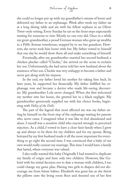15 Delusions of Eggdeur

she could no longer put up with my grandfather's stream of lovers and delivered my father to an orphanage. Week after week my father sat at a long dining table and ate with his fellow orphans in an Oliver Twist–style setting. Every Sunday he sat on the front steps expectantly waiting for someone to visit. Mostly no one ever did. Once in a while my great-grandmother, a proud German woman who grew up wealthy in a Fifth Avenue townhouse, stopped by to see her grandson. However, she never took him home with her. My father vowed to himself that one day he would show them all and make something of himself.

Eventually, after my grandmother married her second husband, a chicken plucker called "Chickie," she arrived on the scene to reclaim her son. Unfortunately, she had never told her new husband about the existence of her son. Chickie was very unhappy to become a father and never got along with his stepson.

In the end, my father loved his mother for taking him back. In later years, he supported her financially. My father fulfilled his orphanage vow and became a doctor who made life-saving discoveries. My grandmother Lola never changed. When she first welcomed my mother into her house, she greeted her in a black negligée. My grandmother generously supplied me with her choice books**,** beginning with *Valley of the Dolls*.

The part of the legend that most affected me was my father sitting by himself on the front step of the orphanage waiting for parents who never came. I imagined what it was like to feel abandoned and alone. I myself was a sensitive child who reacted strongly to perceived rejection. As a child, I vowed to have a close-knit family when I grew up and always to be there for my children and for my spouse. Being betrayed by my first husband made it all the more important for everything to go right the second time. I was convinced that a baby of our own would really cement my marriage. This time I would have a family that lasted, where everyone was valued.

I also really wanted this baby. Originally I had wanted to duplicate my family of origin and have only two children. However, like Gabriel with his initial decision not to date a woman with children, I too could change my game plan. Having two girls in diapers did not discourage me from future babies. Elizabeth was great fun as she threw the pillows onto the living room floor and shouted one of her first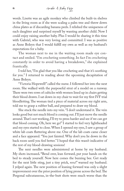words. Lisette was an agile monkey who climbed the built-in shelves in the living room as if she were scaling a palm tree and threw down china plates as if discarding banana peels. I relished the uniqueness of each daughter and surprised myself by wanting another child. Now I could enjoy raising another baby. Plus I would be sharing it this time with Gabriel, who was very loving and committed. I was as positive as Anne Boleyn that I would fulfill my own as well as my husband's expectations for a baby.

The woman next to me in the waiting room made eye contact and smiled. "I'm crocheting something. In fact I'm crocheting constantly in order to avoid having a breakdown," she explained frantically.

I told her, "I'm glad that you like crocheting and that it's soothing for you." I returned to reading about the upcoming decapitation of Anne Boleyn.

"Victoria Hopewell!" called the nurse. I followed her into the next room. She walked with the purposeful strut of a model on a runway. There were two rows of cubicles with women lined up in chairs getting their blood drawn. I sat down in my chair to wait for my first IVF trial bloodletting. The woman tied a piece of material across my right arm, told me to grasp a rubber ball, and prepared to draw my blood.

She stuck the needle into my vein. "I don't understand it. The vein looks good but not much blood is coming out. I'll just move the needle around. That's not working, I'll try to press harder and see if we can get that blood coming. Oh, here we go!" I started to feel very lightheaded and my eyes started to close. When I opened my eyes, I saw a group of white lab coats fluttering above me. One of the lab coats came closer and a face appeared. "You just fainted. Why don't you lie down in the back room until you feel better." I hoped that this wasn't indicative of the rest of my blood-drawing sessions!

The next needles were administered at home by my husband. My shots increased**. "**Bend over, lean forward, put your hands on the bed to steady yourself. Now here comes the buzzing bee. Get ready for the next little sting, just a tiny prick, *now*!" warned my husband. I yelped again. The new position of leaning forward was only a slight improvement over the prior position of lying prone across the bed. The Pergonal subcutaneous, in-the-butt shots were much worse than the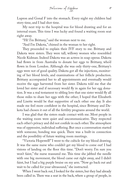17 Delusions of Eggdeur

Lupron and Gonal F into the stomach. Every night my children had story time, and I had shot time.

My next trip to the hospital was for blood drawing and for an internal exam. This time I was lucky and found a waiting room seat right away.

"Hi! I'm Brittany," said the woman next to me.

"And I'm Dakota," chimed in the woman to her right.

They proceeded to explain their IVF story to me. Brittany and Dakota were sisters. They were tall, willowy women who resembled Nicole Kidman. Indeed Dakota was an actress in soap operas. Dakota had flown in from Australia to donate her eggs to Brittany, who'd flown in from London. Although she was only thirty-one, Brittany's eggs were not of good quality. Dakota got all the injections, monitoring of her blood levels, and examinations of her follicle production. Brittany accompanied her to all appointments and eventually would receive the eggs harvested from her sister. Dakota told me that she loved her sister and if necessary would fly in again for her egg donation. It was a real testament to sibling love that one sister would fly all those miles to share her eggs with the other; I hoped that Elizabeth and Lisette would be that supportive of each other one day. It also made me feel more confident in the hospital, since Brittany and Dakota had chosen it out of all the fertility programs around the world.

I was glad that the sisters made contact with me. Most people in the waiting room were quiet and uncommunicative. They respected each other's privacy and did not confide in each other. The atmosphere was of oppressive, individual suffering. But once a conversation started with someone, bonding was quick. There was a built-in connection and the possibility of future waiting room meetings.

"Victoria Hopewell!" I went to the cubicle for my blood drawing. It was the same nurse who couldn't get my blood to come out! I had visions of landing on the floor this time. "Don't worry. I'm sure you won't faint," the nurse reassured me. This time she jabbed the needle with one big movement, the blood came out right away, and I didn't faint, but I had a big purple bruise on my arm. "Now go back out and wait to be called for your ultrasound," she instructed.

When I went back out, I looked for the sisters, but they had already been called in. There was a seat in the back, where a group of people, in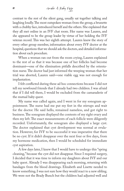contrast to the rest of the silent gang, usually sat together talking and laughing loudly. The most outspoken woman from the group, a brunette with a chubby face, introduced herself and the others. She explained that they all met online in an IVF chat room. Her name was Lauren, and she appeared to be the group leader by virtue of her holding the IVF veteran record. This was her eighth attempt. Lauren knew the story of every other group member, information about every IVF doctor at the hospital, questions that we should ask the doctors, and detailed information about each procedure.

When a woman ran out from the room crying, Lauren explained to the rest of us that it was because one of her follicles had become dominant**—**one of the elimination pitfalls described by the orientation nurse. The doctor had just informed the weeping woman that her trial was aborted, Lauren said**—**one viable egg was not enough for implantation.

I felt conflicted during these ad hoc connections because I did not tell my newfound friends that I already had two children. I was afraid that if I did tell them, I would be excluded from the camaraderie of the mutual baby quest.

My name was called again, and I went in for my sonogram appointment. The nurse had me put my feet in the stirrups and wait for the doctor. He said hello, remained nameless, and got right to business. The sonogram displayed the contents of my right ovary and then my left. The exact measurements of each follicle were diligently recorded. Unfortunately, the sonogram also displayed a large cyst. The doctor explained that cyst development was normal at ovulation. However, for IVF to be successful it was imperative that there be no cyst. If it didn't disappear over the next four or five days**,** from my hormone medication, then I would be scheduled for immediate cyst aspiration.

A few days later, I knew that I would have to undergo this "spring cleaning," because the cyst did not disappear. Since I required surgery, I decided that it was time to inform my daughters about IVF and our baby quest. Already I was disappearing each morning, returning with bandages from the blood drawings. Elizabeth and Lisette needed to know something**.** I was not sure how they would react to a new sibling. We were not the Brady Bunch but the children had adjusted well and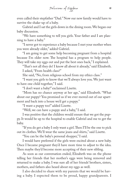19 Delusions of Eggdeur

even called their stepfather "Dad." Now our new family would have to survive the shake-up of a baby.

Gabriel and I sat the girls down in the dining room. We began our baby discussion.

"We have something to tell you girls. Your father and I are planning to have a baby."

"I never got to experience a baby because I met your mother when you were already older," added Gabriel.

"I am going to get some help becoming pregnant from a hospital because I'm older now. The hospital has a program to help people. They will take my eggs out and put the best ones back," I explained.

"That's not all they do! I know all about it already," said Elizabeth. I asked, "From health class?"

She said, "No, from religious school from my ethics class."

"I want you girls to know that we'll always love you. We just want to have one child together," I said.

"I don't want a baby!" exclaimed Lisette.

"Mom has no chance anyway at her age," said Elizabeth. "What about our puppy? You promised us if we ever moved out of our apartment and back into a house we'd get a puppy."

"I want a puppy too!" added Lisette.

"Well, we can have a puppy and a baby," I said.

I was positive that the children would ensure that we got the puppy. It would be up to the hospital to enable Gabriel and me to get the baby.

"If you do get a baby I only want a girl. Then I'll be the one to pick out its clothes. We'll wear the same jeans and shirts," said Lisette.

"You can be the baby's personal shopper," I said.

I would have preferred if the girls were excited about a new baby. Once I became pregnant they'd have more time to adjust to the idea. Then maybe they'd become more accepting of their new sibling.

As soon as our conversation ended, Elizabeth was on the phone telling her friends that her mother's eggs were being removed and returned to make a baby. I was sure all of her friends' brothers, sisters, mothers, and fathers also heard about my eggs as well.

I also decided to share with my parents that we would be having a baby. I expected them to be proud, happy grandparents. I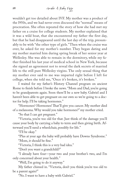wouldn't get too detailed about IVF. My mother was a product of the l950s, and we had never even discussed the "normal" means of procreation. She often repeated the story of how she had met my father on a cruise for college students. My mother explained that it was a wild boat, that she encountered my father the first day, but that he had disappeared until the last day of the trip, presumably to be with "the other type of girls." Then when the cruise was over, he asked for my mother's number. They began dating and my mother married him during spring break of her senior year at Wellesley. She was able to remain in the dormitory, while my father finished his last year of medical school in New York, because she signed an agreement not to reveal the dark secrets of married life to the still pure Wellesley virgins. The only sexual thing that my mother ever said to me was imparted right before I left for college, when she told me, "Once it's broken, it's broken."

I waited for my father's History Channel program on ancient Rome to finish before I broke the news. "Mom and Dad, you're going to be grandparents again. Soon there'll be a new baby. Gabriel and I haven't been able to get pregnant on our own so we're going to a doctor for help. I'll be taking hormones."

"Hormones? Hormones! That'll give you cancer. My mother died of a melanoma. Why would you take hormones?" my mother cried.

"So that I can get pregnant."

"Victoria, you're too old for that. Just think of the damage you'll cause your body by carrying a baby to term and then giving birth. Afterward you'll need a wheelchair, possibly for life."

"I'll be okay."

"Plus at your age the baby will probably have Downs Syndrome."

"Mom, it should be fine."

"Victoria, I think this is a very bad idea."

"Don't you want a grandchild?"

"I already have four—your two and your brother's two, and I'm only concerned about your health."

"Well, I'm going to do it anyway."

My father chimed in. "Victoria, don't you think you're too old to be a parent again?"

"No. I want to have a baby with Gabriel."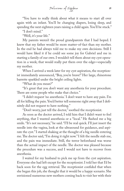21 Delusions of Eggdeur

"You have to really think about what it means to start all over again with an infant. You'll be changing diapers, losing sleep, and spending the next eighteen years raising a child again. You'll be stuck."

"I don't mind."

"Well, it's your life."

My parents weren't the proud grandparents that I had hoped. I knew that my father would be more matter-of-fact than my mother. In the end he had always told me to make my own decisions. Still I would have liked it if he could see some joy for Gabriel and me in starting a family of our own. I wouldn't tell them about my cyst operation in a week; that would really put them over the edge**—**especially my mother.

When I arrived a week later for my cyst aspiration, the receptionist immediately announced, "Boy, you're brave!" Her large, rhinestone barrette sparkled under the bright ceiling lights.

"What do you mean?"

"It's great that you don't want any anesthesia for your procedure. There are some people who make that choice."

"I didn't request 'no anesthesia.' I don't want to have any pain. I'm all for killing the pain. You'd better tell someone right away that I definitely did not request to have nothing."

"Don't worry, just tell the doctor," soothed the receptionist.

As soon as the doctor arrived, I told him that I didn't want to feel anything, that I wanted anesthesia or a "local." He flashed me a big smile. "It's not necessary," he said. "I'll be real quick. I'll just insert the needle into the vagina, look at the ultrasound for guidance, and aspirate the cyst." I started shaking at the thought of a big needle entering me. The doctor said, "I'm doing it right now." I felt the needle stab me, and the pain was immediate. Still, the terror beforehand was worse than the actual impact of the needle. The doctor was pleased because the procedure was a success, and I would not have to recover from anesthesia.

I waited for my husband to pick me up from the cyst aspiration. Everyone else had left except for the receptionist. I told her that I'd be back soon for the egg retrieval. The receptionist confided that when she began this job, she thought that it would be a happy scenario. She envisioned numerous new mothers coming back to visit her with their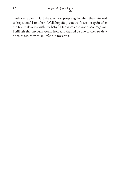newborn babies. In fact she saw most people again when they returned as "repeaters." I told her, "Well, hopefully you won't see me again after the trial unless it's with my baby!" Her words did not discourage me. I still felt that my luck would hold and that I'd be one of the few destined to return with an infant in my arms.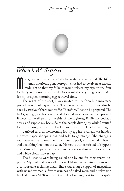Delusions of Eggdeur



## Halfway Road to Pregnancy

If y eggs were finally ready to be harvested and retrieved. The hCG (human chorionic gonadotropin) shot had to be given at exactly midnight so that my follicles would release my eggs thirty-four to thirty-six hours later. y eggs were finally ready to be harvested and retrieved. The hCG (human chorionic gonadotropin) shot had to be given at exactly midnight so that my follicles would release my eggs thirty-four for my assigned morning egg retrieval time.

The night of the shot, I was invited to my friend's anniversary party. It was a holiday weekend. There was a chance that I wouldn't be back by twelve if there was traffic. Therefore, I had to be prepared. The hCG, syringe, alcohol swabs, and disposal waste case were all packed. If necessary we'd pull to the side of the highway, I'd lift my cocktail dress, and expose my backside to the people driving by while I waited for the buzzing bee to land. Luckily we made it back before midnight.

I arrived early in the morning for my egg harvesting. I was handed a brown paper shopping bag and told to go change. The changing room was similar to one at our community pool, with a wooden bench and a clothing hook on the door. My new outfit consisted of slippers, drawstring cloth pants, a wraparound sleeveless shirt with ties, a robe, and a blue cloth shower cap.

The husbands were being called one by one for their sperm deposits. My husband was called next. Gabriel went into a room with a comfortable reclining chair. There was a large supply of magazines with naked women, a few magazines of naked men, and a television hooked up to a VCR with an X-rated video lying next to it: a hospital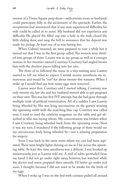version of a Times Square peep show—with private room so husbands could participate fully in the excitement of the spectacle. Earlier, the receptionist had announced that if any man experienced difficulty, his wife could be called in to assist. My husband did not experience any difficulty. He placed the filled cup into a hole in the wall, closed the little sliding door, and rang the bell to announce that his deposit was ready for pickup. At least one of us was having fun.

When Gabriel returned, we were prepared to wait a while but it turned out that I was in the first group called. The women were divided into groups of three. Lauren was in my group, as well as a younger woman in her twenties named Courtney. Courtney had angled brown hair with the shortest pieces falling into her eyes.

The three of us followed the nurse to a tiny waiting area. Lauren started to tell me what to expect. I would receive anesthesia via intravenous and would be "out" for about twenty-five minutes. When I woke up I would find out how many eggs were removed.

Lauren went first. Courtney and I started talking. Courtney was only twenty-six, but she and her husband weren't able to get pregnant on their own. This was her first IVF attempt, but she had gone through multiple trials of artificial insemination. All of a sudden I saw Lauren being wheeled by. She was lying unconscious on the gurney wearing the operating outfit with the matching blue cap. Courtney was called next. I tried to read the celebrity magazine on the table and get absorbed in who was seeing whom. My concentration was broken when I saw Courtney being wheeled back from the operating room. Next it was my turn. I wondered if the following group of three would see my unconscious body being wheeled by—not a relaxing preparation for surgery.

Soon I was back in the same room where my cyst had been aspirated. There were bright lights shining on me as I lay across the operating table. At least this time anesthesia was a definite. I was hooked up intravenously, just as Lauren told me. A trail of tubes protruded from my hand. I did not go under right away, however, but watched while the doctor and nurse prepared their utensils. I'd better go under real soon, I thought, because I did not want to be awake for the birth of my eggs.

When I woke up I was on the bed with curtains pulled all around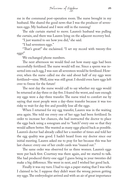25 Delusions of Eggdeur

me in the communal post-operation room. The nurse brought in my husband. She shared the good news that I was the producer of seventeen eggs. My husband and I were still in the running!

The side curtain started to move. Lauren's husband was pulling the curtain, and there was Lauren lying on the adjacent recovery bed.

"I just wanted to see how you did," she said.

"I had seventeen eggs."

"That's great!" she exclaimed. "I set my record with twenty-five eggs!"

We exchanged phone numbers.

The next afternoon we would find out how many eggs had been successfully fertilized. The nurse would tell me. Since a sperm was inserted into each egg, I was sure all seventeen would be fertilized. However, when the nurse called me she said about half of my eggs were fertilized**—**nine. Well, nine was still great. I should even have eggs left over to freeze for the future!

The next day the nurse would call to say whether my eggs would be returned at day three or day five. I feared the worst, and sure enough my eggs were a day-three transfer. The nurse tried to comfort me by saying that most people were a day-three transfer because it was too risky to wait for day five and possibly lose all the eggs.

When I returned for my egg transfer, Lauren was in the waiting area again. She told me every one of her eggs had been fertilized. In order to increase her chances, she had instructed the doctor to place the eggs back using a sonogram and to "hatch" every one so that they would adhere better. She wanted as many eggs placed back as possible. Lauren's doctor had already called her a number of times and told her the egg quality was good. I hadn't heard from my doctor since our initial meeting. Lauren asked me to pray for her because this was her last chance: every one of her credit cards was "maxed out."

The same order was observed for us three women. Lauren's eggs were put back first. Courtney was there again, and we started to talk. She had produced thirty-one eggs! I guess being in your twenties did make a big difference. She went in next, and I wished her good luck.

Finally it was my turn. I had to sign a paper stating that I was who I claimed to be. I suppose they didn't want the wrong person getting my eggs. The embryologist arrived and with an air of great importance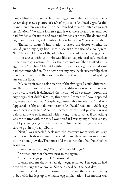hand-delivered my set of fertilized eggs from the lab. Above me, a screen displayed a picture of each of my viable fertilized eggs. At this point there were only five. The other four had "demonstrated abnormal fertilization." No more frozen eggs. It was these five. Three embryos had divided eight times and two had divided six times. The doctor said eight and six were good numbers. It was like a Las Vegas craps table.

Thanks to Lauren's information, I asked the doctor whether he would guide my eggs back into place with the use of a sonogram. "No," he said. He was of the old school and could slide my eggs back into the uterus without it. He was like an experienced safe cracker; he said he had a natural feel for the combination. Then I asked if my eggs were "hatched." He said neither the embryologist or my doctor had recommended it. The doctor put my eggs back successfully, then double-checked that they were in the right location without spilling any on the floor.

My souvenir was a color picture of the five eggs. I could differentiate those with six divisions from the eight-division ones. There also was a score card. It delineated the history of all seventeen. From the eight eggs that didn't fertilize, three were "immature," two "appeared degenerative," two had "morphology unsuitable for transfer," and one "appeared healthy and did not become fertilized." Each non-viable egg was a personal failure. About 50 percent of my total production was deformed. I was so identified with my eggs that it was as if something was the matter with me too. I wondered if I was going to have a baby or if I just was going to have a picture of five fertilized eggs and a score card to put in my baby album.

Next I was wheeled back into the recovery room with its large collection of beds with curtains around them. There was no anesthesia, so I was totally awake. The nurse told me to rest for a half hour before going home.

Lauren screamed out, "Victoria! How did it go?"

It turned out that she was next to me again.

"I had five eggs put back," I answered.

Lauren told me that she had eight eggs returned. Her eggs all had divided to stage ten or twelve. She said she'd call the next day.

Lauren called the next morning. She told me that she was staying in bed with her legs up to enhance egg implantation. Her mother was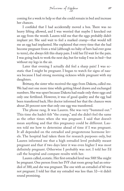27 Delusions of Eggdeur

coming for a week to help so that she could remain in bed and increase her chances.

I confided that I had accidentally moved a box. There was no heavy lifting allowed, and I was worried that maybe I knocked out an egg from the womb. Lauren told me that the eggs probably didn't implant yet. She said wait to feel a marked cramp—that would tell me an egg had implanted. She explained that every time that she had become pregnant from a trial (although no baby of hers had ever gone to term), she always felt this sharp pain. I told her I'd wait for the pain. I was going back to work the next day, but for today I was in bed—but without my legs in the air.

Later that evening I actually did feel a sharp pain! I was ecstatic that I might be pregnant. I began to watch for signs of nausea because I had strong morning sickness while pregnant with my daughters.

Brittany, the sister who received the eggs from Dakota, called me. We had met one more time while getting blood drawn and exchanged numbers. She was upset because Dakota had made only three eggs and only one fertilized. However, it was of good quality and the egg had been transferred back. Her doctor informed her that the chances were about 20 percent now that only one egg was transferred.

The phone rang. It was Lauren. She was very "bummed out." This time she hadn't felt "the cramp," and she didn't feel the same as the other times when she was pregnant. I said that doesn't mean anything and that this pregnancy could be different. Lauren told me how to determine ahead of time if I was pregnant. It all depended on the estradiol and progesterone hormone levels. The hospital had taken them for research purposes only, but Lauren informed me that a high estradiol level probably meant pregnant and that if two days later it was even higher I was most definitely pregnant. Otherwise I probably was not. I told her I'd call the hospital and compare results with her.

Lauren called, ecstatic. Her first estradiol level was 500! She might be pregnant. One person from her IVF chat room group had an estradiol of 300, and she was pregnant. The one with an estradiol of 60 was not pregnant. I told her that my estradiol was less than 32—it didn't sound promising.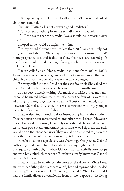After speaking with Lauren, I called the IVF nurse and asked about my estradiol.

She said, "Estradiol is not always a good predictor."

"Can you tell anything from the estradiol level?" I asked.

"All I can say is that the estradiol levels should be increasing over time."

I hoped mine would be higher next time.

But my estradiol went down to less than 20. I was definitely not pregnant. Plus I did the "three days in advance of your missed period" home pregnancy test, and it did not show the necessary second pink line. I'd even looked under a magnifying glass, but there was only one pink line to be seen.

Lauren called again. Her estradiol had gone from 500 to 1,000! Lauren was sure she was pregnant and in fact carrying more than one child. Now I was the one who was not at all encouraged.

Brittany called me too. I told her the estradiol trick. She called the nurse to find out her two levels. Hers were also abysmally low.

It was very difficult waiting. As much as I wished that my family could be united before the birth of a baby, the four of us were still adjusting to living together as a family. Tensions remained, mostly between Gabriel and Lisette. This was consistent with my younger daughter's first reactions to Gabriel.

I had waited four months before introducing him to the children. They had never been introduced to any other men I dated. However, Gabriel seemed promising. I carefully orchestrated the initial encounter to take place at an amusement park. That way, I figured, the girls would be on their best behavior. They would be so excited to go on the rides that there would be no blowout fights between them.

Elizabeth, almost age eleven, was charming. She greeted Gabriel with a big smile and chatted as adeptly as any high-society hostess. She squealed with delight when Gabriel shot basketballs into hoops and won her a plush chimpanzee. Elizabeth already knew that Gabriel was her ticket out.

Elizabeth had been affected the most by the divorce. While I was still with her father, she overheard our fights and reprimanded her dad by saying, "Daddy, you shouldn't have a girlfriend." When Pierre and I had the family divorce discussion in front of the fireplace in the living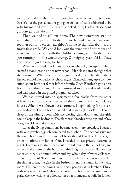29 Delusions of Eggdeur

room, we told Elizabeth and Lisette that Pierre wanted to live alone (we left out the part about his going on an out-of-state sabbatical to be with his married lover). Elizabeth shrieked, "No, Daddy, please don't go, don't go, don't do this!"

Then we had to sell our home. The new owners insisted on immediate occupancy. Elizabeth, Lisette, and I moved into one room at our kind elderly neighbor's home so that Elizabeth could finish first grade. We could look out the window of our room and view our former yard with the children's swing set. Elizabeth began running into the woods crying. Our eighty-year-old landlady and I would go looking for her.

When we moved that fall to the town where I grew up, Elizabeth started second grade at her new school. Her classmates thought that she was mute. When she finally began to speak, she only talked about her old school. For back-to-school night, Elizabeth hung up a composition about how her father left the family. Once Elizabeth got a best friend, everything changed. She blossomed socially and academically and was placed in the gifted program at school.

We had moved into an apartment a few blocks from the other side of the railroad tracks. The rest of the community resided in fancy houses. When I was shown our apartment, I kept looking for the second bedroom. The realtor explained that it was a "Junior Four." I could sleep in the dining room with the closing glass doors, and the girls could sleep in the bedroom. The place was already at the top end of my budget so I leased it anyway.

Later the living conditions became even more crowded. I started with one psychology job connected to a school. The school gave me the same hours and vacations as Elizabeth and Lisette's. However, in order to afford our Junior Four, I needed to see private patients at night. There was a babysitter to put the children on the school bus, another to take them off the bus, and a third nighttime sitter. If one sitter canceled it had a domino effect and my whole day of work collapsed. Therefore, I went "live in" and hired a nanny. Now there was my bed in the dining room, the girls in the bedroom, and the nanny in the living room. We took turns dining in our two-person eat-in kitchen. Elizabeth was very nice to Gabriel the entire five hours at the amusement park. She saw visions of a house, her own room, and a built-in father.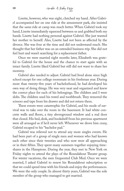Lisette, however, who was eight, clutched my hand. After Gabriel accompanied her on one ride at the amusement park, she insisted that the same ride at camp was much better. When Gabriel took my hand, Lisette immediately squeezed between us and grabbed both my hands. Lisette had nothing personal against Gabriel. She just wanted her mother to herself. Also, Lisette had not been as affected by the divorce. She was four at the time and did not understand much. She thought that her father was on an extended business trip. She did not feel hurt and wasn't searching for a replacement father.

Once we were married eight months later, Elizabeth was grateful to Gabriel for the house and the chance to start again with an intact family. Lisette liked Gabriel but still did not want to share her mommy.

Gabriel also needed to adjust. Gabriel had lived alone since high school except for one college roommate in his freshman year. During more than twenty-five years of bachelorhood, he had developed his own way of doing things. He was very neat and organized and knew the correct place for each of his belongings. The children and I were slobs. The children used his towel and toothbrush. They removed the scissors and tape from his drawer and did not return them.

These events were catastrophic for Gabriel, and his mode of survival was to take over the room in the basement. It had white concrete walls and floors, a tiny aboveground window and a real door that closed. His bed, desk, and bookshelf from his previous apartment were all arranged as if he'd never left. Whenever we drove him crazy, Gabriel escaped to his "bachelor pad."

Gabriel was relieved not to attend any more singles events. He had been part of a group of single men and women who had known each other since their twenties and who now were all approaching or in their fifties. They spent many summers together enjoying timeshares in the Hamptons. During the year, they met in New York on Friday nights to attend the plays of the Roundabout Theater group. For winter vacations, the men frequented Club Med. Once we were married, I asked Gabriel to renew his Roundabout subscription so that we could spend time with his friends and enjoy the performances. We were the only couple. In almost thirty years, Gabriel was the sole member of the group who managed to get married.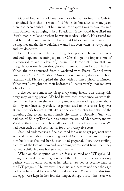31 Delusions of Eggdeur

Gabriel frequently told me how lucky he was to find me. Gabriel maintained faith that he would find his bride, but after so many years there had been doubts. I let him know how happy I was to have married him. Sometimes at night, in bed, I'd ask him if he would have liked me if we'd met in college or when he was in medical school. He assured me that he would have. I wanted to know that Gabriel and I were meant to be together and that he would have wanted me evenwhen he was younger and less desperate.

Gabriel was eager to become the girls' stepfather. He bought a book and audiotape on becoming a parent. Gabriel hoped to impart some of his own values and his love of Judaism. He knew that Pierre still saw the girls occasionally but thought that there was room for both fathers. When the girls returned from a weekend with Pierre, Gabriel went from being "Dad" to "Gabriel." Since my remarriage, after each school vacation visit Pierre supplied the girls with a framed photo of himself. Whenever I straightened their bedrooms, I inadvertently knocked over a few Pierres.

I decided to contact my sleep-away camp friend Star during this pregnancy waiting period. We had known each other since we were fifteen. I met her when she was sitting under a tree reading a book about Bob Dylan. Once camp ended, our parents used to drive us to sleep over at each other's houses. I felt like a wide-eyed country bumpkin of the suburbs, going to stay at my friend's city home in Brooklyn. Star, who had natural Shirley Temple curls, showed me around Manhattan, and we stood on the twofer line to buy half-price tickets to a Broadway show. We had been each other's confidantes for over twenty-five years.

Star had endometriosis. She had tried for years to get pregnant with artificial insemination, but nothing worked. Star had shown me an adoption book that she and her husband had prepared. There were smiling pictures of the two of them and welcoming words about how much they wanted a child. No one had selected them yet.

While on the adoption wait list, Star also tried one IVF cycle. Although she produced nine eggs, none of them fertilized. She was the only patient with no embryos. After her trial, a new doctor became head of the IVF program. He reviewed her chart and determined that the eggs had been harvested too early. Star tried a second IVF trial, and this time the eggs were kept in her follicles longer. At age thirty-nine, Star was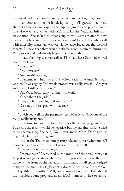successful and nine months later gave birth to her daughter, Jewel.

I saw Star and her husband, Jay, as my IVF gurus. They knew about it from personal experience, support groups, and professionally. Star also was very active with RESOLVE: The National Infertility Association. She talked to other couples who were striving to have babies. Her husband was a physician's assistant for a doctor who dealt with infertility issues. Jay was very knowledgeable about the medical aspects. I knew that they would both be good resources during my IVF process and had already begun to talk with them.

I made the long distance call to Florida, where Star had moved from Brooklyn.

"Hey, Star**."**

"Any news yet?"

"No. I'm still waiting."

"I remember when Jay and I waited each time until it finally worked. It was agony. The whole process was really stressful. Are you and Gabriel still getting along?"

"Yes. We're both really wanting it to work."

"What about the girls?"

"They are both praying it doesn't work."

"Do you want to speak with Jay too?"

"Okay."

"I wish you well on the pregnancy test. Maybe you'll be one of the really, really lucky ones."

It was time to have my blood drawn for the official pregnancy test. I was sure the results would be negative, but my daughter Lisette tried to be encouraging. She said, "You never know, Mom. Don't give up hope. Maybe you are pregnant."

I was at the Thai restaurant getting takeout dinner when my cell phone rang. It was my husband Gabriel with the results.

"The test shows you're pregnant."

"I'm pregnant!" I screamed in the middle of the restaurant as if I'd just won a game show. Then, for more privacy, I went to the vestibule at the front of the restaurant. This was a small space wedged between the two sets of glass entry doors. Once there, I heard Gabriel qualify the results. "Well, you're sort of pregnant. The lab and the hospital count pregnant as an hCG number of five or above.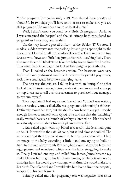Auto 33 Delusions of Eggdeur

You're pregnant but you're only a 19. You should have a value of about 50. In two days you'll have another test to make sure you are still pregnant. The number should at least double."

Well, I didn't know you could be a "little bit pregnant." As far as I was concerned the hospital and the lab criteria both considered me pregnant so I was pregnant. Yeahhh!

On the way home I passed in front of the Babies "R" Us store. I made a sudden swerve into the parking lot and got a spot right by the door. First I looked at all of the adorable outfits. There were cute tiny dresses with bows and little boy jumpsuits with matching hats. There also were beautiful blankets to take the baby home from the hospital. They even had diaper bags that looked like designer pocketbooks.

Then I looked at the bassinet section. The bassinets were very high-tech and performed multiple functions: they could play music, rock like a cradle, and become a changing table.

The best was the crib set. I fell in love with an "antique" one that looked like Victorian wrought iron, with a star and moon and a canopy on top. I started to call over the salesman to purchase it but managed to restrain myself.

Two days later I had my second blood test. While I was waiting for the results, Lauren called. She was pregnant with multiple children. Definitely more than two, but she didn't know how many yet—maybe enough for her to make it onto *Oprah*. She told me that the "hatching" really worked because a bunch of embryos latched on. Her husband was already worried about his multiple mouths to feed.

I was called again with my blood test result. The level had gone up to 31! It wasn't in the safe 50 zone, but it had almost doubled. The nurse said that the baby could make it, but the odds were slim. I had an image of the baby extending a little hand and trying to hold on tight to the wall of my womb. Every night I looked at my five fertilized eggs picture and wondered which was the baby struggling to make it. Finally I picked one egg and called him James. James became my child. He was fighting for his life. I was moving carefully, trying not to dislodge him. He would grow stronger with time. He would make it to his birth. Then Gabriel and I would take him home from the hospital, wrapped in his tiny blanket.

Brittany called me. Her pregnancy test was negative. Her sister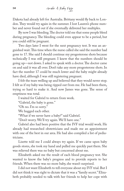Dakota had already left for Australia. Brittany would fly back to London. They would try again in the summer. I lost Lauren's phone number and never found out if she eventually delivered her multiples.

By now I was bleeding. The doctor told me that some people bleed during pregnancy. The bleeding could even appear to be a period, but you could still be pregnant.

Two days later I went for the next pregnancy test. It was an anguished wait. This time when the nurse called she said the number had gone to 17. She said I should continue my progesterone shots because technically I was still pregnant. I knew that the numbers should be going up—not down. I asked to speak with a doctor. The doctor came on and said it was all over. Don't take any more progesterone shots. In fact the number 17 could be much lower and the baby might already have died, although I was still registering pregnant.

I felt the tears welling up and believed that they would never stop. I felt as if my baby was being ripped out from me. He had been there**,** trying so hard to make it. And now James was gone. The sense of emptiness was total.

I waited for Gabriel to return from work.

"Gabriel, the baby is gone."

"Oh no. I'm so sorry."

We hugged each other.

"What if we never have a baby?" said Gabriel.

"Don't worry. We'll try again. We'll have one."

Gabriel also had been positive that the IVF trial would work. He already had researched obstetricians and made me an appointment with one of the best in our area. He had also compiled a list of pediatricians.

Lisette told me I could always try again. If we came upon baby goods stores, she took my hand and pulled me quickly past them. She was relieved there was no baby but concerned about me.

Elizabeth asked me the result of each blood pregnancy test. She wanted to know the baby's progress and to provide reports to her friends. When there was no more baby, she wasn't surprised.

I did not want Elizabeth to tell everyone about my IVF trial. But I did not think it was right to dictate that it was a "family secret." Elizabeth probably needed to talk with her friends to help her cope with